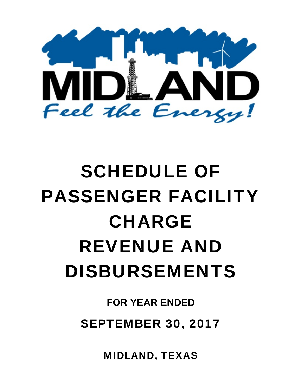

# SCHEDULE OF PASSENGER FACILITY CHARGE REVENUE AND DISBURSEMENTS

**FOR YEAR ENDED** 

SEPTEMBER 30, 2017

MIDLAND, TEXAS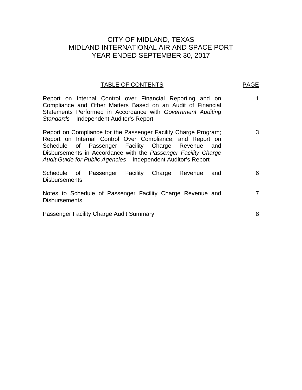# CITY OF MIDLAND, TEXAS MIDLAND INTERNATIONAL AIR AND SPACE PORT YEAR ENDED SEPTEMBER 30, 2017

#### TABLE OF CONTENTS PAGE

3

Report on Internal Control over Financial Reporting and on Compliance and Other Matters Based on an Audit of Financial Statements Performed in Accordance with *Government Auditing Standards* – Independent Auditor's Report 1

Report on Compliance for the Passenger Facility Charge Program; Report on Internal Control Over Compliance; and Report on Schedule of Passenger Facility Charge Revenue and Disbursements in Accordance with the *Passenger Facility Charge Audit Guide for Public Agencies* – Independent Auditor's Report

Schedule of Passenger Facility Charge Revenue and **Disbursements** 6

Notes to Schedule of Passenger Facility Charge Revenue and **Disbursements** 7

Passenger Facility Charge Audit Summary **8** 8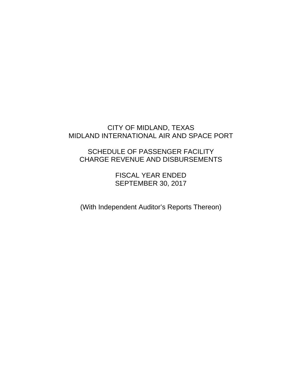# CITY OF MIDLAND, TEXAS MIDLAND INTERNATIONAL AIR AND SPACE PORT

# SCHEDULE OF PASSENGER FACILITY CHARGE REVENUE AND DISBURSEMENTS

FISCAL YEAR ENDED SEPTEMBER 30, 2017

(With Independent Auditor's Reports Thereon)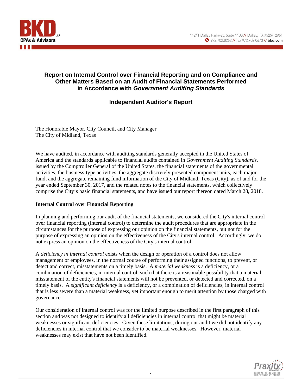

#### **Report on Internal Control over Financial Reporting and on Compliance and Other Matters Based on an Audit of Financial Statements Performed in Accordance with** *Government Auditing Standards*

### **Independent Auditor's Report**

The Honorable Mayor, City Council, and City Manager The City of Midland, Texas

We have audited, in accordance with auditing standards generally accepted in the United States of America and the standards applicable to financial audits contained in *Government Auditing Standards*, issued by the Comptroller General of the United States, the financial statements of the governmental activities, the business-type activities, the aggregate discretely presented component units, each major fund, and the aggregate remaining fund information of the City of Midland, Texas (City), as of and for the year ended September 30, 2017, and the related notes to the financial statements, which collectively comprise the City's basic financial statements, and have issued our report thereon dated March 28, 2018.

#### **Internal Control over Financial Reporting**

In planning and performing our audit of the financial statements, we considered the City's internal control over financial reporting (internal control) to determine the audit procedures that are appropriate in the circumstances for the purpose of expressing our opinion on the financial statements, but not for the purpose of expressing an opinion on the effectiveness of the City's internal control. Accordingly, we do not express an opinion on the effectiveness of the City's internal control.

A *deficiency in internal control* exists when the design or operation of a control does not allow management or employees, in the normal course of performing their assigned functions, to prevent, or detect and correct, misstatements on a timely basis. A *material weakness* is a deficiency, or a combination of deficiencies, in internal control, such that there is a reasonable possibility that a material misstatement of the entity's financial statements will not be prevented, or detected and corrected, on a timely basis. A *significant deficiency* is a deficiency, or a combination of deficiencies, in internal control that is less severe than a material weakness, yet important enough to merit attention by those charged with governance.

Our consideration of internal control was for the limited purpose described in the first paragraph of this section and was not designed to identify all deficiencies in internal control that might be material weaknesses or significant deficiencies. Given these limitations, during our audit we did not identify any deficiencies in internal control that we consider to be material weaknesses. However, material weaknesses may exist that have not been identified.

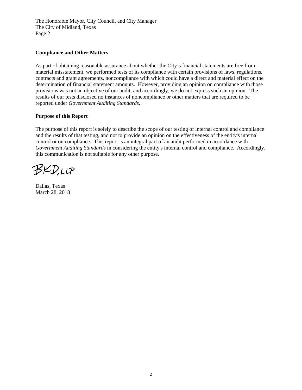The Honorable Mayor, City Council, and City Manager The City of Midland, Texas Page 2

#### **Compliance and Other Matters**

As part of obtaining reasonable assurance about whether the City's financial statements are free from material misstatement, we performed tests of its compliance with certain provisions of laws, regulations, contracts and grant agreements, noncompliance with which could have a direct and material effect on the determination of financial statement amounts. However, providing an opinion on compliance with those provisions was not an objective of our audit, and accordingly, we do not express such an opinion. The results of our tests disclosed no instances of noncompliance or other matters that are required to be reported under *Government Auditing Standards*.

#### **Purpose of this Report**

The purpose of this report is solely to describe the scope of our testing of internal control and compliance and the results of that testing, and not to provide an opinion on the effectiveness of the entity's internal control or on compliance. This report is an integral part of an audit performed in accordance with *Government Auditing Standards* in considering the entity's internal control and compliance. Accordingly, this communication is not suitable for any other purpose.

BKD.LLP

Dallas, Texas March 28, 2018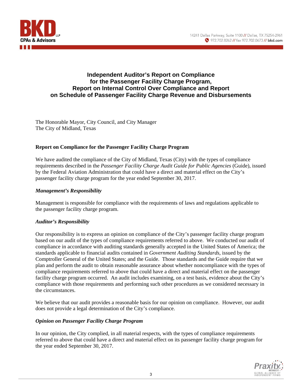

#### **Independent Auditor's Report on Compliance for the Passenger Facility Charge Program, Report on Internal Control Over Compliance and Report on Schedule of Passenger Facility Charge Revenue and Disbursements**

The Honorable Mayor, City Council, and City Manager The City of Midland, Texas

#### **Report on Compliance for the Passenger Facility Charge Program**

We have audited the compliance of the City of Midland, Texas (City) with the types of compliance requirements described in the *Passenger Facility Charge Audit Guide for Public Agencies* (Guide), issued by the Federal Aviation Administration that could have a direct and material effect on the City's passenger facility charge program for the year ended September 30, 2017.

#### *Management's Responsibility*

Management is responsible for compliance with the requirements of laws and regulations applicable to the passenger facility charge program.

#### *Auditor's Responsibility*

Our responsibility is to express an opinion on compliance of the City's passenger facility charge program based on our audit of the types of compliance requirements referred to above. We conducted our audit of compliance in accordance with auditing standards generally accepted in the United States of America; the standards applicable to financial audits contained in *Government Auditing Standards*, issued by the Comptroller General of the United States; and the Guide. Those standards and the Guide require that we plan and perform the audit to obtain reasonable assurance about whether noncompliance with the types of compliance requirements referred to above that could have a direct and material effect on the passenger facility charge program occurred. An audit includes examining, on a test basis, evidence about the City's compliance with those requirements and performing such other procedures as we considered necessary in the circumstances.

We believe that our audit provides a reasonable basis for our opinion on compliance. However, our audit does not provide a legal determination of the City's compliance.

#### *Opinion on Passenger Facility Charge Program*

In our opinion, the City complied, in all material respects, with the types of compliance requirements referred to above that could have a direct and material effect on its passenger facility charge program for the year ended September 30, 2017.

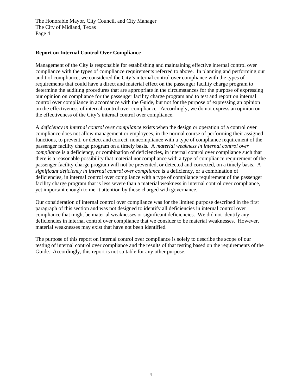The Honorable Mayor, City Council, and City Manager The City of Midland, Texas Page 4

#### **Report on Internal Control Over Compliance**

Management of the City is responsible for establishing and maintaining effective internal control over compliance with the types of compliance requirements referred to above. In planning and performing our audit of compliance, we considered the City's internal control over compliance with the types of requirements that could have a direct and material effect on the passenger facility charge program to determine the auditing procedures that are appropriate in the circumstances for the purpose of expressing our opinion on compliance for the passenger facility charge program and to test and report on internal control over compliance in accordance with the Guide, but not for the purpose of expressing an opinion on the effectiveness of internal control over compliance. Accordingly, we do not express an opinion on the effectiveness of the City's internal control over compliance.

A *deficiency in internal control over compliance* exists when the design or operation of a control over compliance does not allow management or employees, in the normal course of performing their assigned functions, to prevent, or detect and correct, noncompliance with a type of compliance requirement of the passenger facility charge program on a timely basis. A *material weakness in internal control over complianc*e is a deficiency, or combination of deficiencies, in internal control over compliance such that there is a reasonable possibility that material noncompliance with a type of compliance requirement of the passenger facility charge program will not be prevented, or detected and corrected, on a timely basis. A *significant deficiency in internal control over compliance* is a deficiency, or a combination of deficiencies, in internal control over compliance with a type of compliance requirement of the passenger facility charge program that is less severe than a material weakness in internal control over compliance, yet important enough to merit attention by those charged with governance.

Our consideration of internal control over compliance was for the limited purpose described in the first paragraph of this section and was not designed to identify all deficiencies in internal control over compliance that might be material weaknesses or significant deficiencies. We did not identify any deficiencies in internal control over compliance that we consider to be material weaknesses. However, material weaknesses may exist that have not been identified.

The purpose of this report on internal control over compliance is solely to describe the scope of our testing of internal control over compliance and the results of that testing based on the requirements of the Guide. Accordingly, this report is not suitable for any other purpose.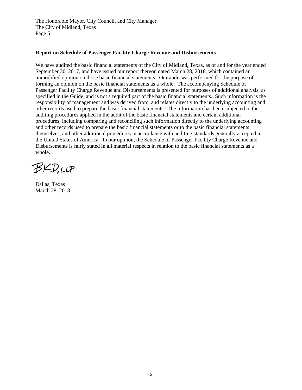The Honorable Mayor, City Council, and City Manager The City of Midland, Texas Page 5

#### **Report on Schedule of Passenger Facility Charge Revenue and Disbursements**

We have audited the basic financial statements of the City of Midland, Texas, as of and for the year ended September 30, 2017, and have issued our report thereon dated March 28, 2018, which contained an unmodified opinion on those basic financial statements. Our audit was performed for the purpose of forming an opinion on the basic financial statements as a whole. The accompanying Schedule of Passenger Facility Charge Revenue and Disbursements is presented for purposes of additional analysis, as specified in the Guide, and is not a required part of the basic financial statements. Such information is the responsibility of management and was derived from, and relates directly to the underlying accounting and other records used to prepare the basic financial statements. The information has been subjected to the auditing procedures applied in the audit of the basic financial statements and certain additional procedures, including comparing and reconciling such information directly to the underlying accounting and other records used to prepare the basic financial statements or to the basic financial statements themselves, and other additional procedures in accordance with auditing standards generally accepted in the United States of America. In our opinion, the Schedule of Passenger Facility Charge Revenue and Disbursements is fairly stated in all material respects in relation to the basic financial statements as a whole.

BKD,LLP

Dallas, Texas March 28, 2018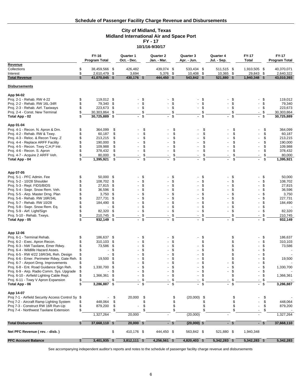#### **City of Midland, Texas Midland International Air and Space Port FY - 17 10/1/16-9/30/17**

|                                                                       |                | <b>FY-16</b><br><b>Program Total</b> |     | Quarter 1<br>Oct. - Dec. |          | Quarter 2<br>Jan. - Mar. |          | Quarter 3<br>Apr. - Jun. |          | Quarter 4<br>Jul. - Sep. |          | <b>FY-17</b><br>Total    |          | <b>FY-17</b><br><b>Program Total</b> |
|-----------------------------------------------------------------------|----------------|--------------------------------------|-----|--------------------------|----------|--------------------------|----------|--------------------------|----------|--------------------------|----------|--------------------------|----------|--------------------------------------|
| Revenue                                                               |                |                                      |     |                          |          |                          |          |                          |          |                          |          |                          |          |                                      |
| Collections                                                           | \$             | 38,459,566 \$                        |     | 426,482                  |          | 439,074 \$               |          | 533,434 \$               |          | 511,515 \$               |          | 1,910,505 \$             |          | 40,370,071                           |
| Interest                                                              | \$             | 2,610,479 \$                         |     | 3,694                    |          | 5,376 \$                 |          | 10,408 \$                |          | 10,365 \$                |          | 29,843 \$                |          | 2,640,322                            |
| <b>Total Revenue</b>                                                  | $\mathfrak{S}$ | 41,070,045 \$                        |     | 430,176 \$               |          | 444,450 \$               |          | 543,842 \$               |          | 521,880 \$               |          | 1,940,348 \$             |          | 43,010,393                           |
| <b>Disbursements</b>                                                  |                |                                      |     |                          |          |                          |          |                          |          |                          |          |                          |          |                                      |
| App 94-02                                                             |                |                                      |     |                          |          |                          |          |                          |          |                          |          |                          |          |                                      |
| Proj. 2-1 - Rehab. RW 4-22                                            | \$             | 119,012 \$                           |     |                          | \$       |                          | \$       |                          | \$       |                          | \$       |                          | \$       | 119,012                              |
| Proj. 2-2 - Rehab. RW 16L-34R                                         | \$             | 79,340                               | \$  |                          | \$       |                          | \$       |                          | \$       |                          | \$       |                          | \$       | 79,340                               |
| Proj. 2-3 - Rehab. Airf. Taxiways                                     | \$             | 223,673 \$                           |     | $\blacksquare$           | \$       |                          | \$       |                          | \$       |                          | \$       |                          | \$       | 223,673                              |
| Proj. 2-4 - Const. New Terminal                                       | \$             | 30,303,864                           | \$  |                          | \$       |                          |          |                          | \$       |                          | \$       | $\overline{\phantom{a}}$ | \$       | 30,303,864                           |
| Total App - 02                                                        | \$             | 30,725,889 \$                        |     | ٠                        | \$       |                          | \$       |                          | \$       | ٠                        | \$       | $\blacksquare$           | \$       | 30,725,889                           |
| App 01-04                                                             |                |                                      |     |                          |          |                          |          |                          |          |                          |          |                          |          |                                      |
| Proj. 4-1 - Recon. N. Apron & Drn.                                    | \$             | 364,099                              | \$  |                          | \$       |                          | \$       |                          | \$       |                          | \$       |                          | \$       | 364,099                              |
| Proj. 4-2 - Rehab. RW & Txwy.                                         | \$             | 60,187                               | \$  |                          | \$       |                          | \$       |                          | \$       |                          | \$       |                          | \$       | 60,187                               |
| Proj. 4-3 - Reloc. & Recon Txwy. Z                                    | \$             | 213,215                              | \$  |                          | \$       |                          | \$       |                          | \$       |                          | \$       |                          | \$       | 213,215                              |
| Proj. 4-4 - Replace ARFF Facility                                     | \$             | 190,000                              | \$  |                          | \$       |                          | \$       |                          | \$       |                          |          |                          | \$       | 190,000                              |
| Proj. 4-5 - Recon. Txwy C, H, P Intr.                                 | \$             | 109,988                              | \$  |                          | \$       |                          | \$       |                          | \$       |                          |          |                          | \$       | 109,988                              |
| Proj. 4-6 - Recon. S. Apron                                           | \$             | 378,432                              | \$  |                          | \$       |                          | \$       |                          | \$       |                          | \$       |                          | \$       | 378,432                              |
| Proj. 4-7 - Acquire 2 ARFF Veh.                                       | \$             | 80,000                               | \$  |                          | \$       |                          | \$       |                          | \$       |                          |          |                          | \$       | 80,000                               |
| Total App - 04                                                        | \$             | 1,395,921 \$                         |     | ۰                        | \$       |                          | \$       |                          | \$       |                          | \$       | $\blacksquare$           | \$       | 1,395,921                            |
| App 07-05                                                             |                |                                      |     |                          |          |                          |          |                          |          |                          |          |                          |          |                                      |
|                                                                       |                |                                      |     |                          |          |                          |          |                          |          |                          |          |                          |          |                                      |
| Proj. 5-1 - PFC Admin. Fee<br>Proj. 5-2 - 10/28 Shoulder              | \$<br>\$       | 50,000 \$<br>108,702 \$              |     |                          | \$<br>\$ |                          | \$<br>\$ |                          | \$<br>\$ |                          | \$<br>\$ |                          | \$<br>\$ | 50,000<br>108,702                    |
| Proj. 5-3 - Repl. FIDS/BIDS                                           | \$             | 27,815 \$                            |     |                          | \$       |                          | S        |                          | \$       |                          | \$       |                          | \$       | 27,815                               |
| Proj. 5-4 - Swpr. Snow Rem. Veh.                                      | \$             | 36,596 \$                            |     |                          | \$       |                          | \$       |                          | \$       |                          | \$       |                          | \$       | 36,596                               |
| Proj. 5-5 - Airp. Master Drng. Plan                                   | \$             | $3,750$ \$                           |     |                          | \$       |                          |          |                          | g        |                          | \$       |                          | \$       | 3,750                                |
| Proj. 5-6 - Rehab. RW 16R/34L                                         | \$             | 227,731                              | \$  |                          | \$       |                          | S        |                          | \$       |                          | \$       |                          | \$       | 227,731                              |
| Proj. 5-7 - Rehab. RW 10/28                                           | \$             | 184,490                              | \$  |                          | \$       |                          |          |                          | \$       |                          | \$       |                          | \$       | 184,490                              |
| Proj. 5-8 - Swpr. Snow Rem. Eq.                                       | \$             | ÷,                                   | \$  |                          | \$       |                          |          |                          | \$       |                          | \$       |                          | \$       |                                      |
| Proj. 5-9 - Airf. Light/Sign                                          | \$             | 82,320                               | \$  |                          | \$       |                          | \$       |                          | \$       |                          | \$       |                          | \$       | 82,320                               |
| Proj. 5-10 - Rehab. Txwys.                                            | \$             | 210,745                              | -\$ | $\blacksquare$           | \$       |                          |          |                          | \$       |                          | \$       |                          | \$       | 210,745                              |
| Total App - 05                                                        | \$             | 932,149 \$                           |     | $\blacksquare$           | \$       | $\blacksquare$           | \$       |                          | \$       |                          | \$       | $\blacksquare$           | \$       | 932,149                              |
|                                                                       |                |                                      |     |                          |          |                          |          |                          |          |                          |          |                          |          |                                      |
| App 12-06                                                             |                |                                      |     |                          |          |                          |          |                          |          |                          |          |                          |          |                                      |
| Proj. 6-1 - Terminal Rehab.                                           | \$<br>\$       | 186,637 \$<br>310,103 \$             |     |                          | \$<br>\$ |                          | \$<br>\$ |                          | \$<br>\$ |                          | \$<br>\$ |                          | \$<br>\$ | 186,637<br>310,103                   |
| Proj. 6-2 - Exec. Apron Recon.<br>Proj. 6-3 - NW Taxilane, Emer Rdwy. | \$             | 73,586                               | \$  |                          | \$       |                          | \$       |                          | \$       |                          | \$       |                          | \$       | 73,586                               |
| Proj. 6-4 - Wildlife Hazard Asses.                                    | \$             | $\blacksquare$                       | \$  |                          | \$       |                          | S        |                          | \$       |                          | \$       |                          | \$       |                                      |
| Proj. 6-5 - RW 4/22 16R/34L Reh. Design                               | \$             | $\blacksquare$                       | \$  |                          | \$       |                          | \$       |                          | \$       |                          | \$       |                          | \$       |                                      |
| Proj. 6-6 - Emer. Perimeter Rdwy, Gate Reh. \$                        |                | 19,500                               | \$  |                          | \$       |                          |          |                          | \$       |                          | \$       |                          | \$       | 19,500                               |
| Proj. 6-7 - Airport Drng. Improvements                                |                |                                      |     |                          | \$       |                          | \$       |                          | \$       |                          | \$       |                          | \$       |                                      |
| Proj. 6-8 - Ent. Road Guidance Sign Reh.                              | \$             | 1,330,700                            | \$  |                          | \$       |                          | \$       |                          | \$       |                          | \$       |                          | \$       | 1,330,700                            |
| Proj. 6-9 - Airp. Radio Comm. Sys. Upgrade                            |                |                                      | \$  |                          | \$       |                          |          |                          |          |                          | ፍ        |                          | \$       |                                      |
| Proj. 6-10 - Airfield Lighting Cable Repl.                            | \$             | 1,366,361 \$                         |     |                          | \$       |                          | \$       |                          | \$       |                          | \$       | - \$                     |          | 1,366,361                            |
| Proj. 6-11 - Txwy V Apron Expansion                                   | \$             |                                      |     |                          | \$       |                          |          |                          | \$       |                          | \$       |                          |          |                                      |
| Total App - 06                                                        | \$             | $3,286,887$ \$                       |     |                          | \$       |                          |          |                          | \$       |                          | \$       |                          |          | 3,286,887                            |
| App 14-07                                                             |                |                                      |     |                          |          |                          |          |                          |          |                          |          |                          |          |                                      |
| Proj 7-1 - Airfield Security Access Control Sy \$                     |                |                                      | \$  | 20,000                   | - \$     |                          | \$       | $(20,000)$ \$            |          |                          |          |                          | \$       |                                      |
| Proj 7-2 - Aircraft Ramp Lighting System                              | \$             | 448,064                              | \$  |                          |          |                          | \$       |                          | \$       |                          |          |                          | \$       | 448,064                              |
| Proj 7-3 - Construct RW 16R Run-Up                                    | \$             | 879,200                              | \$  |                          | \$       |                          | \$       |                          | \$       |                          |          |                          | \$       | 879,200                              |
| Proj 7-4 - Northwest Taxilane Extension                               | \$             |                                      | \$  |                          |          |                          |          |                          |          |                          |          |                          | \$       |                                      |
|                                                                       |                | 1,327,264                            |     | 20,000                   |          |                          |          | (20,000)                 |          |                          |          |                          |          | 1,327,264                            |
| <b>Total Disbursements</b>                                            | $\mathbb{S}$   | 37,668,110 \$                        |     | $20,000$ \$              |          |                          | $-$ \$   | $(20,000)$ \$            |          |                          | - \$     | $-$ \$                   |          | 37,668,110                           |
| Net PFC Revenue (rev. - disb.)                                        |                |                                      | \$  | 410,176 \$               |          | 444,450 \$               |          | 563,842 \$               |          | 521,880 \$               |          | 1,940,348                |          |                                      |
| <b>PFC Account Balance</b>                                            | \$             | 3,401,935 \$                         |     | $3,812,111$ \$           |          | 4,256,561 \$             |          | 4,820,403 \$             |          | 5,342,283 \$             |          | 5,342,283 \$             |          | 5,342,283                            |

See accompanying independent auditor's reports and notes to the schedule of passenger facility charge revenue and disbursements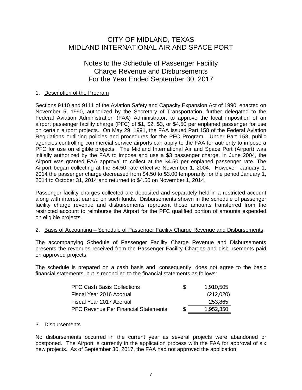# CITY OF MIDLAND, TEXAS MIDLAND INTERNATIONAL AIR AND SPACE PORT

# Notes to the Schedule of Passenger Facility Charge Revenue and Disbursements For the Year Ended September 30, 2017

#### 1. Description of the Program

Sections 9110 and 9111 of the Aviation Safety and Capacity Expansion Act of 1990, enacted on November 5, 1990, authorized by the Secretary of Transportation, further delegated to the Federal Aviation Administration (FAA) Administrator, to approve the local imposition of an airport passenger facility charge (PFC) of \$1, \$2, \$3, or \$4.50 per enplaned passenger for use on certain airport projects. On May 29, 1991, the FAA issued Part 158 of the Federal Aviation Regulations outlining policies and procedures for the PFC Program. Under Part 158, public agencies controlling commercial service airports can apply to the FAA for authority to impose a PFC for use on eligible projects. The Midland International Air and Space Port (Airport) was initially authorized by the FAA to impose and use a \$3 passenger charge. In June 2004, the Airport was granted FAA approval to collect at the \$4.50 per enplaned passenger rate. The Airport began collecting at the \$4.50 rate effective November 1, 2004. However, January 1, 2014 the passenger charge decreased from \$4.50 to \$3.00 temporarily for the period January 1, 2014 to October 31, 2014 and returned to \$4.50 on November 1, 2014.

Passenger facility charges collected are deposited and separately held in a restricted account along with interest earned on such funds. Disbursements shown in the schedule of passenger facility charge revenue and disbursements represent those amounts transferred from the restricted account to reimburse the Airport for the PFC qualified portion of amounts expended on eligible projects.

#### 2. Basis of Accounting – Schedule of Passenger Facility Charge Revenue and Disbursements

The accompanying Schedule of Passenger Facility Charge Revenue and Disbursements presents the revenues received from the Passenger Facility Charges and disbursements paid on approved projects.

The schedule is prepared on a cash basis and, consequently, does not agree to the basic financial statements, but is reconciled to the financial statements as follows:

| <b>PFC Cash Basis Collections</b>           | S | 1,910,505 |
|---------------------------------------------|---|-----------|
| Fiscal Year 2016 Accrual                    |   | (212,020) |
| Fiscal Year 2017 Accrual                    |   | 253,865   |
| <b>PFC Revenue Per Financial Statements</b> |   | 1,952,350 |

#### 3. Disbursements

No disbursements occurred in the current year as several projects were abandoned or postponed. The Airport is currently in the application process with the FAA for approval of six new projects. As of September 30, 2017, the FAA had not approved the application.